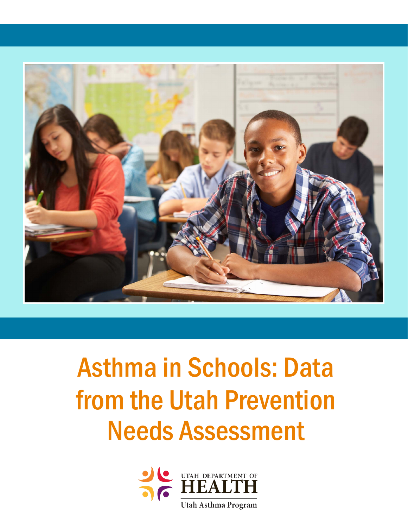

# Asthma in Schools: Data from the Utah Prevention Needs Assessment

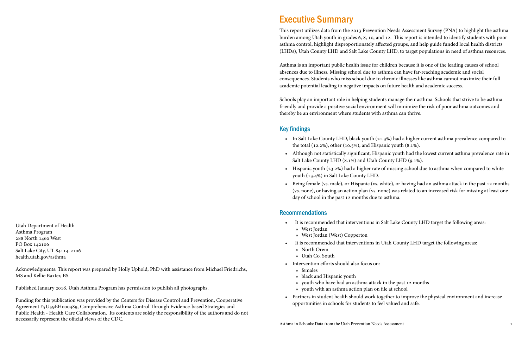### Executive Summary

This report utilizes data from the 2013 Prevention Needs Assessment Survey (PNA) to highlight the asthma burden among Utah youth in grades 6, 8, 10, and 12. This report is intended to identify students with poor asthma control, highlight disproportionately affected groups, and help guide funded local health districts (LHDs), Utah County LHD and Salt Lake County LHD, to target populations in need of asthma resources.

Asthma is an important public health issue for children because it is one of the leading causes of school absences due to illness. Missing school due to asthma can have far-reaching academic and social consequences. Students who miss school due to chronic illnesses like asthma cannot maximize their full academic potential leading to negative impacts on future health and academic success.

Schools play an important role in helping students manage their asthma. Schools that strive to be asthmafriendly and provide a positive social environment will minimize the risk of poor asthma outcomes and thereby be an environment where students with asthma can thrive.

#### Key findings

• In Salt Lake County LHD, black youth (21.3%) had a higher current asthma prevalence compared to

• Although not statistically significant, Hispanic youth had the lowest current asthma prevalence rate in

• Hispanic youth (23.2%) had a higher rate of missing school due to asthma when compared to white

- the total (12.2%), other (10.5%), and Hispanic youth (8.1%).
- Salt Lake County LHD (8.1%) and Utah County LHD (9.1%).
- youth (13.4%) in Salt Lake County LHD.
- day of school in the past 12 months due to asthma.

• Being female (vs. male), or Hispanic (vs. white), or having had an asthma attack in the past 12 months (vs. none), or having an action plan (vs. none) was related to an increased risk for missing at least one

It is recommended that interventions in Salt Lake County LHD target the following areas:

#### Recommendations

- - » West Jordan
	- » West Jordan (West) Copperton
- It is recommended that interventions in Utah County LHD target the following areas:
	- » North Orem
	- » Utah Co. South
- Intervention efforts should also focus on:
	- » females
	- » black and Hispanic youth
	- » youth who have had an asthma attack in the past 12 months
	- » youth with an asthma action plan on file at school
- opportunities in schools for students to feel valued and safe.

• Partners in student health should work together to improve the physical environment and increase

Utah Department of Health Asthma Program 288 North 1460 West PO Box 142106 Salt Lake City, UT 84114-2106 health.utah.gov/asthma

Acknowledgments: This report was prepared by Holly Uphold, PhD with assistance from Michael Friedrichs, MS and Kellie Baxter, BS.

Published January 2016. Utah Asthma Program has permission to publish all photographs.

Funding for this publication was provided by the Centers for Disease Control and Prevention, Cooperative Agreement #5U59EH000489, Comprehensive Asthma Control Through Evidence-based Strategies and Public Health - Health Care Collaboration. Its contents are solely the responsibility of the authors and do not necessarily represent the official views of the CDC.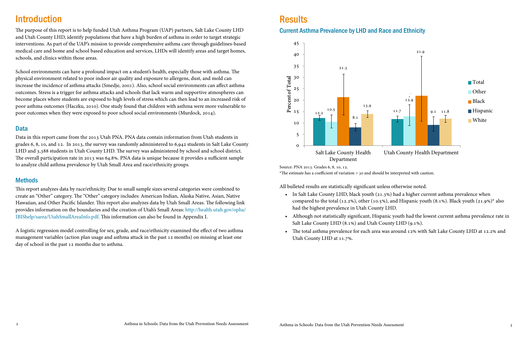### **Introduction**

The purpose of this report is to help funded Utah Asthma Program (UAP) partners, Salt Lake County LHD and Utah County LHD, identify populations that have a high burden of asthma in order to target strategic interventions. As part of the UAP's mission to provide comprehensive asthma care through guidelines-based medical care and home and school based education and services, LHDs will identify areas and target homes, schools, and clinics within those areas.

School environments can have a profound impact on a student's health, especially those with asthma. The physical environment related to poor indoor air quality and exposure to allergens, dust, and mold can increase the incidence of asthma attacks (Smedje, 2001). Also, school social environments can affect asthma outcomes. Stress is a trigger for asthma attacks and schools that lack warm and supportive atmospheres can become places where students are exposed to high levels of stress which can then lead to an increased risk of poor asthma outcomes (Haczku, 2010). One study found that children with asthma were more vulnerable to poor outcomes when they were exposed to poor school social environments (Murdock, 2014).

#### Data

Data in this report came from the 2013 Utah PNA. PNA data contain information from Utah students in grades 6, 8, 10, and 12. In 2013, the survey was randomly administered to 6,942 students in Salt Lake County LHD and 3,388 students in Utah County LHD. The survey was administered by school and school district. The overall participation rate in 2013 was 64.8%. PNA data is unique because it provides a sufficient sample to analyze child asthma prevalence by Utah Small Area and race/ethnicity groups.

#### **Methods**

This report analyzes data by race/ethnicity. Due to small sample sizes several categories were combined to create an "Other" category. The "Other" category includes: American Indian, Alaska Native, Asian, Native Hawaiian, and Other Pacific Islander. This report also analyzes data by Utah Small Areas. The following link provides information on the boundaries and the creation of Utah's Small Areas: http://health.utah.gov/opha/ IBIShelp/sarea/UtahSmallAreaInfo.pdf. This information can also be found in Appendix I.

A logistic regression model controlling for sex, grade, and race/ethnicity examined the effect of two asthma management variables (action plan usage and asthma attack in the past 12 months) on missing at least one day of school in the past 12 months due to asthma.

## **Results**



All bulleted results are statistically significant unless otherwise noted.

- In Salt Lake County LHD, black youth (21.3%) had a higher current asthma prevalence when compared to the total (12.2%), other (10.5%), and Hispanic youth (8.1%). Black youth (21.9%)\* also had the highest prevalence in Utah County LHD.
- Although not statistically significant, Hispanic youth had the lowest current asthma prevalence rate in Salt Lake County LHD (8.1%) and Utah County LHD (9.1%).
- The total asthma prevalence for each area was around 12% with Salt Lake County LHD at 12.2% and Utah County LHD at 11.7%.

Source: PNA 2013. Grades 6, 8, 10, 12. \*The estimate has a coefficient of variation > 30 and should be interpreted with caution.

### Current Asthma Prevalence by LHD and Race and Ethnicity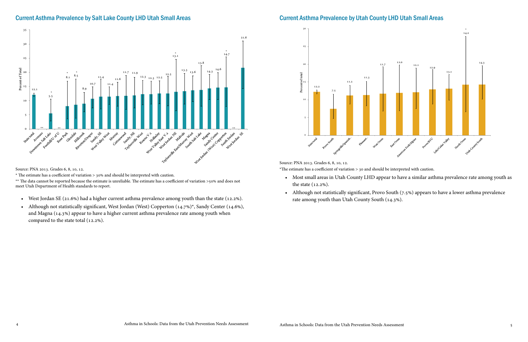

### Current Asthma Prevalence by Salt Lake County LHD Utah Small Areas

Source: PNA 2013. Grades 6, 8, 10, 12.

\* The estimate has a coefficient of variation > 30% and should be interpreted with caution.

\*\* The data cannot be reported because the estimate is unreliable. The estimate has a coefficient of variation >50% and does not meet Utah Department of Health standards to report.

- West Jordan SE (21.6%) had a higher current asthma prevalence among youth than the state (12.2%).
- Although not statistically significant, West Jordan (West) Copperton (14.7%)\*, Sandy Center (14.6%), and Magna (14.3%) appear to have a higher current asthma prevalence rate among youth when compared to the state total (12.2%).

#### Current Asthma Prevalence by Utah County LHD Utah Small Areas

• Most small areas in Utah County LHD appear to have a similar asthma prevalence rate among youth as

• Although not statistically significant, Provo South (7.5%) appears to have a lower asthma prevalence

- the state (12.2%).
- rate among youth than Utah County South (14.3%).

Source: PNA 2013. Grades 6, 8, 10, 12. \*The estimate has a coefficient of variation > 30 and should be interpreted with caution.

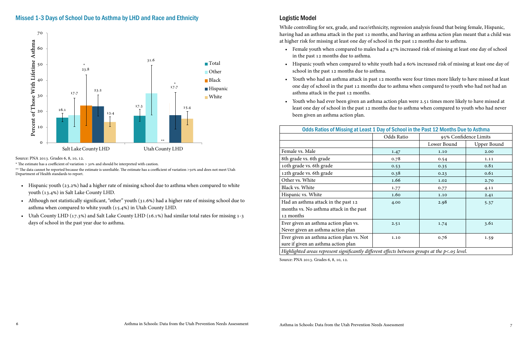While controlling for sex, grade, and race/ethnicity, regression analysis found that being female, Hispanic, having had an asthma attack in the past 12 months, and having an asthma action plan meant that a child was at higher risk for missing at least one day of school in the past 12 months due to asthma.

• Female youth when compared to males had a 47% increased risk of missing at least one day of school

• Hispanic youth when compared to white youth had a 60% increased risk of missing at least one day of

• Youth who had an asthma attack in past 12 months were four times more likely to have missed at least one day of school in the past 12 months due to asthma when compared to youth who had not had an

- in the past 12 months due to asthma.
- school in the past 12 months due to asthma.
- asthma attack in the past 12 months.
- been given an asthma action plan.

• Youth who had ever been given an asthma action plan were 2.51 times more likely to have missed at least one day of school in the past 12 months due to asthma when compared to youth who had never

| Odds Ratios of Missing at Least 1 Day of School in the Past 12 Months Due to Asthma              |                                     |             |                    |  |  |
|--------------------------------------------------------------------------------------------------|-------------------------------------|-------------|--------------------|--|--|
|                                                                                                  | Odds Ratio<br>95% Confidence Limits |             |                    |  |  |
|                                                                                                  |                                     | Lower Bound | <b>Upper Bound</b> |  |  |
| Female vs. Male                                                                                  | 1.47                                | 1.10        | 2.00               |  |  |
| 8th grade vs. 6th grade                                                                          | 0.78                                | 0.54        | 1.11               |  |  |
| 10th grade vs. 6th grade                                                                         | 0.53                                | 0.35        | 0.81               |  |  |
| 12th grade vs. 6th grade                                                                         | 0.38                                | 0.23        | 0.61               |  |  |
| Other vs. White                                                                                  | 1.66                                | 1.02        | 2.70               |  |  |
| Black vs. White                                                                                  | 1.77                                | 0.77        | 4.11               |  |  |
| Hispanic vs. White                                                                               | 1.60                                | 1.10        | 2.41               |  |  |
| Had an asthma attack in the past 12                                                              | 4.00                                | 2.98        | 5.37               |  |  |
| months vs. No asthma attack in the past                                                          |                                     |             |                    |  |  |
| 12 months                                                                                        |                                     |             |                    |  |  |
| Ever given an asthma action plan vs.                                                             | 2.51                                | 1.74        | 3.61               |  |  |
| Never given an asthma action plan                                                                |                                     |             |                    |  |  |
| Ever given an asthma action plan vs. Not                                                         | 1.10                                | 0.76        | 1.59               |  |  |
| sure if given an asthma action plan                                                              |                                     |             |                    |  |  |
| Highlighted areas represent significantly different effects between groups at the $p<.05$ level. |                                     |             |                    |  |  |

Source: PNA 2013. Grades 6, 8, 10, 12.

\* The estimate has a coefficient of variation > 30% and should be interpreted with caution.

\*\* The data cannot be reported because the estimate is unreliable. The estimate has a coefficient of variation >50% and does not meet Utah Department of Health standards to report.

- Hispanic youth (23.2%) had a higher rate of missing school due to asthma when compared to white youth (13.4%) in Salt Lake County LHD.
- Although not statistically significant, "other" youth (31.6%) had a higher rate of missing school due to asthma when compared to white youth (15.4%) in Utah County LHD.
- Utah County LHD (17.3%) and Salt Lake County LHD (16.1%) had similar total rates for missing 1-3 days of school in the past year due to asthma.

Source: PNA 2013. Grades 6, 8, 10, 12.

#### Missed 1-3 Days of School Due to Asthma by LHD and Race and Ethnicity **Leap Andrew Report Access** Logistic Model

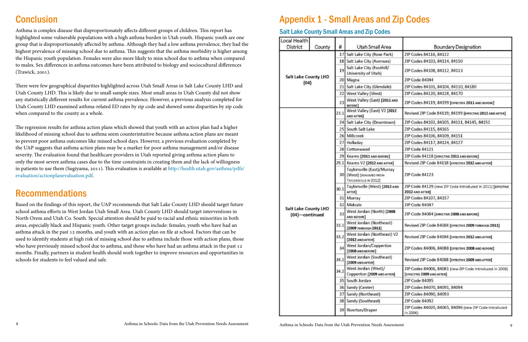## **Conclusion**

Asthma is complex disease that disproportionately affects different groups of children. This report has highlighted some vulnerable populations with a high asthma burden in Utah youth. Hispanic youth are one group that is disproportionately affected by asthma. Although they had a low asthma prevalence, they had the highest prevalence of missing school due to asthma. This suggests that the asthma morbidity is higher among the Hispanic youth population. Females were also more likely to miss school due to asthma when compared to males. Sex differences in asthma outcomes have been attributed to biology and sociocultural differences (Trawick, 2001).

There were few geographical disparities highlighted across Utah Small Areas in Salt Lake County LHD and Utah County LHD. This is likely due to small sample sizes. Most small areas in Utah County did not show any statistically different results for current asthma prevalence. However, a previous analysis completed for Utah County LHD examined asthma-related ED rates by zip code and showed some disparities by zip code when compared to the county as a whole.

The regression results for asthma action plans which showed that youth with an action plan had a higher likelihood of missing school due to asthma seem counterintuitive because asthma action plans are meant to prevent poor asthma outcomes like missed school days. However, a previous evaluation completed by the UAP suggests that asthma action plans may be a marker for poor asthma management and/or disease severity. The evaluation found that healthcare providers in Utah reported giving asthma action plans to only the most severe asthma cases due to the time constraints in creating them and the lack of willingness in patients to use them (Sugiyama, 2011). This evaluation is available at http://health.utah.gov/asthma/pdfs/ evaluation/actionplanevaluation.pdf.

### Recommendations

Based on the findings of this report, the UAP recommends that Salt Lake County LHD should target future school asthma efforts in West Jordan Utah Small Area. Utah County LHD should target interventions in North Orem and Utah Co. South. Special attention should be paid to racial and ethnic minorities in both areas, especially black and Hispanic youth. Other target groups include: females, youth who have had an asthma attack in the past 12 months, and youth with an action plan on file at school. Factors that can be used to identify students at high risk of missing school due to asthma include those with action plans, those who have previously missed school due to asthma, and those who have had an asthma attack in the past 12 months. Finally, partners in student health should work together to improve resources and opportunities in schools for students to feel valued and safe.

## Appendix 1 - Small Areas and Zip Codes

#### Salt Lake County Small Areas and Zip Codes

| Local Health<br>District               | County | #                                                 | Utah Small Area                                                                        | Boundary Designation                                                           |
|----------------------------------------|--------|---------------------------------------------------|----------------------------------------------------------------------------------------|--------------------------------------------------------------------------------|
| Salt Lake County LHD<br>(04)           |        | 17                                                | Salt Lake City (Rose Park)                                                             | ZIP Codes 84116, 84122                                                         |
|                                        |        |                                                   | 18 Salt Lake City (Avenues)                                                            | ZIP Codes 84103, 84114, 84150                                                  |
|                                        |        | 19                                                | Salt Lake City (Foothill/<br>University of Utah)                                       | ZIP Codes 84108, 84112, 84113                                                  |
|                                        |        |                                                   | 20 Magna                                                                               | ZIP Code 84044                                                                 |
|                                        |        | 21                                                | Salt Lake City (Glendale)                                                              | ZIP Codes 84101, 84104, 84110, 84180                                           |
|                                        |        |                                                   | 22 West Valley (West)                                                                  | ZIP Codes 84120, 84128, 84170                                                  |
|                                        | 23     | West Valley (East) [2011 AND<br>BEFORE]           | ZIP Codes 84119, 84199 [EFFECTIVE 2011 AND BEFORE]                                     |                                                                                |
|                                        |        | 23.1                                              | West Valley (East) V2 [2012<br>AND AFTER]                                              | Revised ZIP Code 84119; 84199 [EFFECTIVE 2012 AND AFTER]                       |
|                                        |        |                                                   | 24 Salt Lake City (Downtown)                                                           | ZIP Codes 84102, 84105, 84111, 84145, 84152                                    |
|                                        |        |                                                   | 25 South Salt Lake                                                                     | ZIP Codes 84115, 84165                                                         |
|                                        |        |                                                   | 26 Millcreek                                                                           | ZIP Codes 84106, 84109, 84151                                                  |
|                                        |        | 27                                                | Holladay                                                                               | ZIP Codes 84117, 84124, 84127                                                  |
|                                        |        |                                                   | 28 Cottonwood                                                                          | ZIP Code 84121                                                                 |
|                                        |        |                                                   | 29 Kearns [2011 AND BEFORE]                                                            | ZIP Code 84118 [EFFECTIVE 2011 AND BEFORE]                                     |
|                                        |        |                                                   | 29.1 Kearns V2 [2012 AND AFTER]                                                        | Revised ZIP Code 84118 [EFFECTIVE 2012 AND AFTER]                              |
|                                        |        |                                                   | Taylorsville (East)/Murray<br>30 (West) [RENAMED FROM<br>TAYLORSVILLE IN 2012]         | ZIP Code 84123                                                                 |
|                                        |        | 30.1                                              | Taylorsville (West) [2012 AND<br>AFTER]                                                | ZIP Code 84129 (new ZIP Code introduced in 2011) [EFFECTIVE<br>2012 AND AFTER] |
|                                        |        |                                                   | 31 Murray                                                                              | ZIP Codes 84107, 84157                                                         |
|                                        |        |                                                   | 32 Midvale                                                                             | ZIP Code 84047                                                                 |
| Salt Lake County LHD<br>(04)-continued |        | 33                                                | West Jordan (North) [2008<br>AND BEFORE]                                               | ZIP Code 84084 [EFFECTIVE 2008 AND BEFORE]                                     |
|                                        | 33.1   | West Jordan (Northeast)<br>[2009 тняомын 2011]    | Revised ZIP Code 84084 [EFFECTIVE 2009 THROUGH 2011]                                   |                                                                                |
|                                        | 33.2   | West Jordan (Northeast) V2<br>[2012 AND AFTER]    | Revised ZIP Code 84084 [EFFECTIVE 2012 AND AFTER]                                      |                                                                                |
|                                        | 34     | West Jordan/Copperton<br>[2008 AND BEFORE]        | ZIP Codes 84006, 84088 [EFFECTIVE 2008 AND BEFORE]                                     |                                                                                |
|                                        | 34.1   | West Jordan (Southeast)<br>[2009 AND AFTER]       | Revised ZIP Code 84088 [EFFECTIVE 2009 AND AFTER]                                      |                                                                                |
|                                        | 34.2   | West Jordan (West)/<br>Copperton [2009 AND AFTER] | ZIP Codes 84006, 84081 (new ZIP Code introduced in 2008)<br>[EFFECTIVE 2009 AND AFTER] |                                                                                |
|                                        |        |                                                   | 35 South Jordan                                                                        | ZIP Code 84095                                                                 |
|                                        |        | 36 Sandy (Center)                                 | ZIP Codes 84070, 84091, 84094                                                          |                                                                                |
|                                        |        | 37 Sandy (Northeast)                              | ZIP Codes 84090, 84093                                                                 |                                                                                |
|                                        |        | 38 Sandy (Southeast)                              | ZIP Code 84092                                                                         |                                                                                |
|                                        |        | 39 Riverton/Draper                                | ZIP Codes 84020, 84065, 84096 (new ZIP Code introduced<br>(n, 2006)                    |                                                                                |